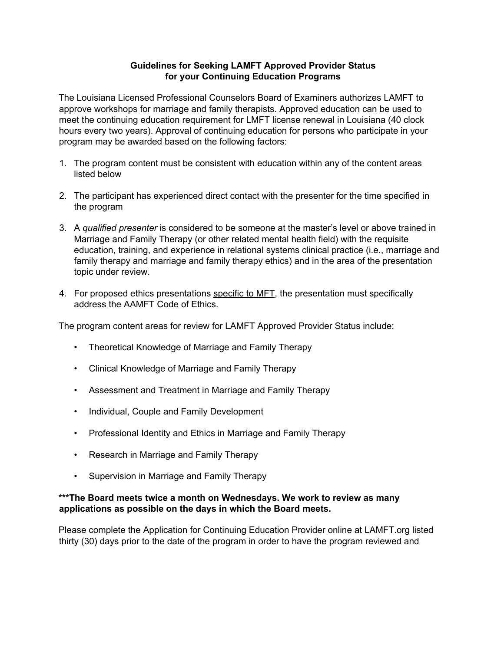## **Guidelines for Seeking LAMFT Approved Provider Status for your Continuing Education Programs**

The Louisiana Licensed Professional Counselors Board of Examiners authorizes LAMFT to approve workshops for marriage and family therapists. Approved education can be used to meet the continuing education requirement for LMFT license renewal in Louisiana (40 clock hours every two years). Approval of continuing education for persons who participate in your program may be awarded based on the following factors:

- 1. The program content must be consistent with education within any of the content areas listed below
- 2. The participant has experienced direct contact with the presenter for the time specified in the program
- 3. A *qualified presenter* is considered to be someone at the master's level or above trained in Marriage and Family Therapy (or other related mental health field) with the requisite education, training, and experience in relational systems clinical practice (i.e., marriage and family therapy and marriage and family therapy ethics) and in the area of the presentation topic under review.
- 4. For proposed ethics presentations specific to MFT, the presentation must specifically address the AAMFT Code of Ethics.

The program content areas for review for LAMFT Approved Provider Status include:

- Theoretical Knowledge of Marriage and Family Therapy
- Clinical Knowledge of Marriage and Family Therapy
- Assessment and Treatment in Marriage and Family Therapy
- Individual, Couple and Family Development
- Professional Identity and Ethics in Marriage and Family Therapy
- Research in Marriage and Family Therapy
- Supervision in Marriage and Family Therapy

## **\*\*\*The Board meets twice a month on Wednesdays. We work to review as many applications as possible on the days in which the Board meets.**

Please complete the Application for Continuing Education Provider online at LAMFT.org listed thirty (30) days prior to the date of the program in order to have the program reviewed and